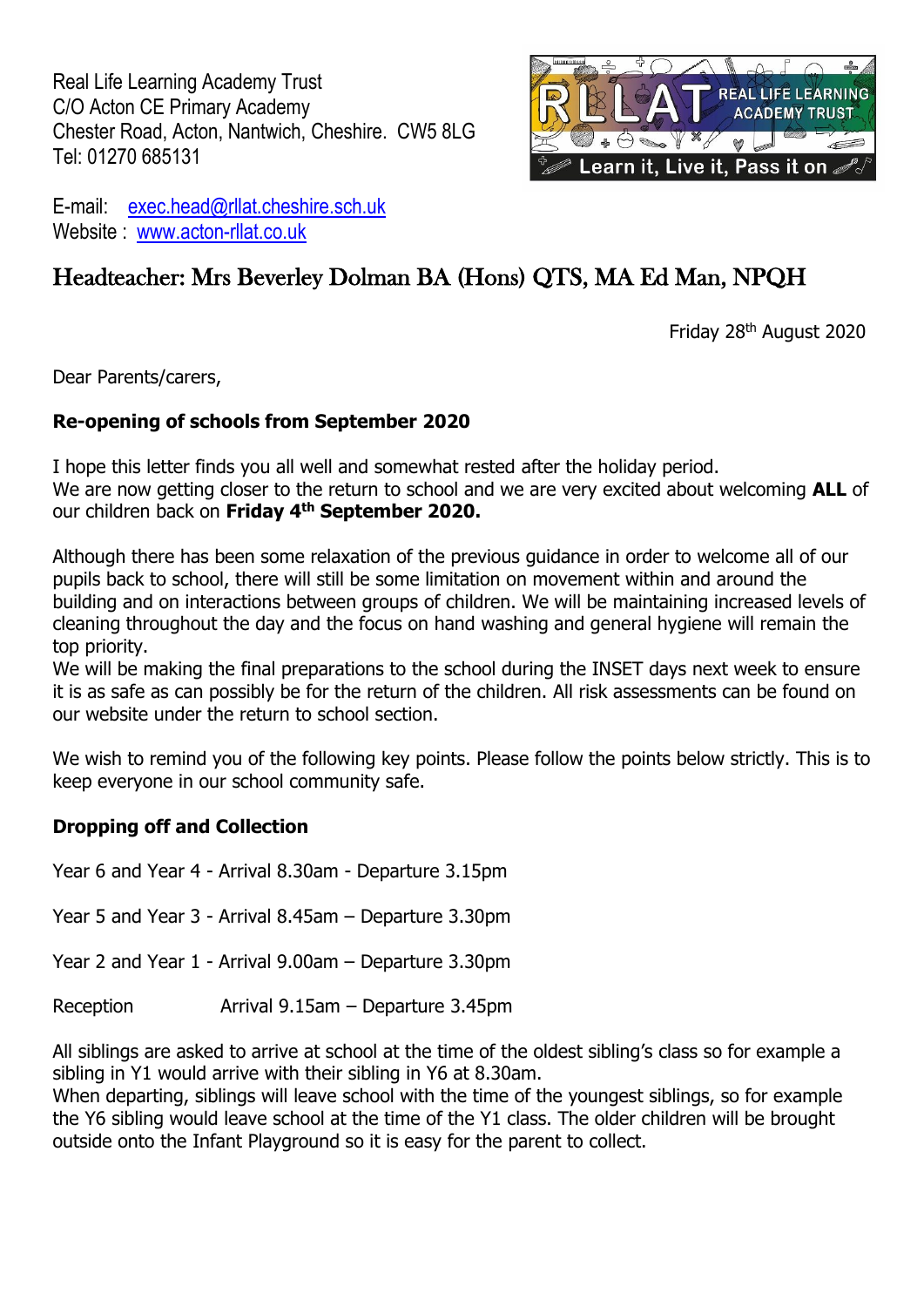Real Life Learning Academy Trust C/O Acton CE Primary Academy Chester Road, Acton, Nantwich, Cheshire. CW5 8LG Tel: 01270 685131



E-mail: [exec.head@rllat.cheshire.sch.uk](mailto:exec.head@rllat.cheshire.sch.uk) Website : www.acton-rllat.co.uk

# Headteacher: Mrs Beverley Dolman BA (Hons) QTS, MA Ed Man, NPQH

Friday 28 th August 2020

Dear Parents/carers,

# **Re-opening of schools from September 2020**

I hope this letter finds you all well and somewhat rested after the holiday period. We are now getting closer to the return to school and we are very excited about welcoming **ALL** of our children back on **Friday 4 th September 2020.**

Although there has been some relaxation of the previous guidance in order to welcome all of our pupils back to school, there will still be some limitation on movement within and around the building and on interactions between groups of children. We will be maintaining increased levels of cleaning throughout the day and the focus on hand washing and general hygiene will remain the top priority.

We will be making the final preparations to the school during the INSET days next week to ensure it is as safe as can possibly be for the return of the children. All risk assessments can be found on our website under the return to school section.

We wish to remind you of the following key points. Please follow the points below strictly. This is to keep everyone in our school community safe.

# **Dropping off and Collection**

Year 6 and Year 4 - Arrival 8.30am - Departure 3.15pm Year 5 and Year 3 - Arrival 8.45am – Departure 3.30pm Year 2 and Year 1 - Arrival 9.00am – Departure 3.30pm Reception Arrival 9.15am – Departure 3.45pm

All siblings are asked to arrive at school at the time of the oldest sibling's class so for example a sibling in Y1 would arrive with their sibling in Y6 at 8.30am.

When departing, siblings will leave school with the time of the youngest siblings, so for example the Y6 sibling would leave school at the time of the Y1 class. The older children will be brought outside onto the Infant Playground so it is easy for the parent to collect.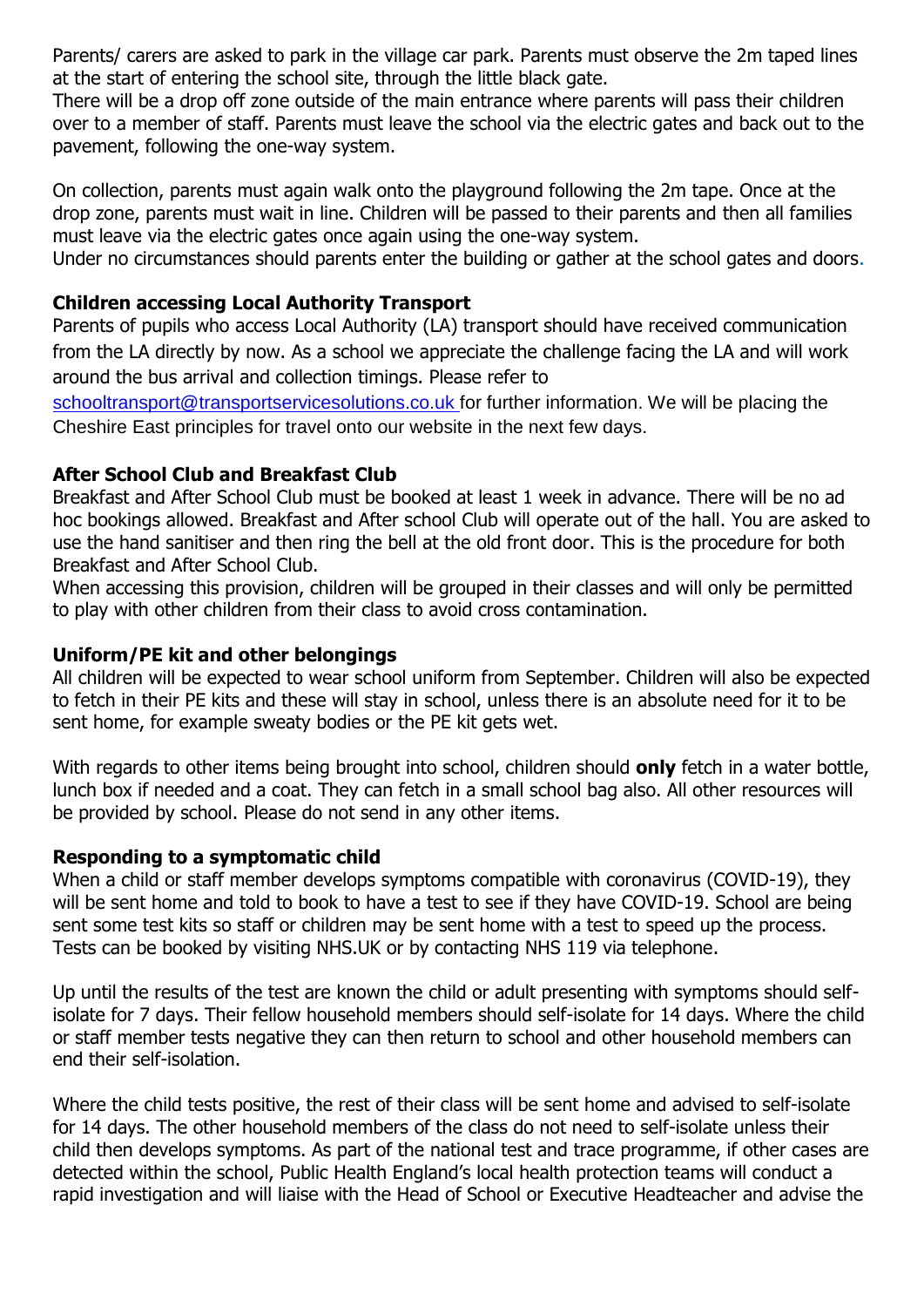Parents/ carers are asked to park in the village car park. Parents must observe the 2m taped lines at the start of entering the school site, through the little black gate.

There will be a drop off zone outside of the main entrance where parents will pass their children over to a member of staff. Parents must leave the school via the electric gates and back out to the pavement, following the one-way system.

On collection, parents must again walk onto the playground following the 2m tape. Once at the drop zone, parents must wait in line. Children will be passed to their parents and then all families must leave via the electric gates once again using the one-way system.

Under no circumstances should parents enter the building or gather at the school gates and doors.

# **Children accessing Local Authority Transport**

Parents of pupils who access Local Authority (LA) transport should have received communication from the LA directly by now. As a school we appreciate the challenge facing the LA and will work around the bus arrival and collection timings. Please refer to

[schooltransport@transportservicesolutions.co.uk](mailto:schooltransport@transportservicesolutions.co.uk) for further information. We will be placing the Cheshire East principles for travel onto our website in the next few days.

## **After School Club and Breakfast Club**

Breakfast and After School Club must be booked at least 1 week in advance. There will be no ad hoc bookings allowed. Breakfast and After school Club will operate out of the hall. You are asked to use the hand sanitiser and then ring the bell at the old front door. This is the procedure for both Breakfast and After School Club.

When accessing this provision, children will be grouped in their classes and will only be permitted to play with other children from their class to avoid cross contamination.

## **Uniform/PE kit and other belongings**

All children will be expected to wear school uniform from September. Children will also be expected to fetch in their PE kits and these will stay in school, unless there is an absolute need for it to be sent home, for example sweaty bodies or the PE kit gets wet.

With regards to other items being brought into school, children should **only** fetch in a water bottle, lunch box if needed and a coat. They can fetch in a small school bag also. All other resources will be provided by school. Please do not send in any other items.

## **Responding to a symptomatic child**

When a child or staff member develops symptoms compatible with coronavirus (COVID-19), they will be sent home and told to book to have a test to see if they have COVID-19. School are being sent some test kits so staff or children may be sent home with a test to speed up the process. Tests can be booked by visiting NHS.UK or by contacting NHS 119 via telephone.

Up until the results of the test are known the child or adult presenting with symptoms should selfisolate for 7 days. Their fellow household members should self-isolate for 14 days. Where the child or staff member tests negative they can then return to school and other household members can end their self-isolation.

Where the child tests positive, the rest of their class will be sent home and advised to self-isolate for 14 days. The other household members of the class do not need to self-isolate unless their child then develops symptoms. As part of the national test and trace programme, if other cases are detected within the school, Public Health England's local health protection teams will conduct a rapid investigation and will liaise with the Head of School or Executive Headteacher and advise the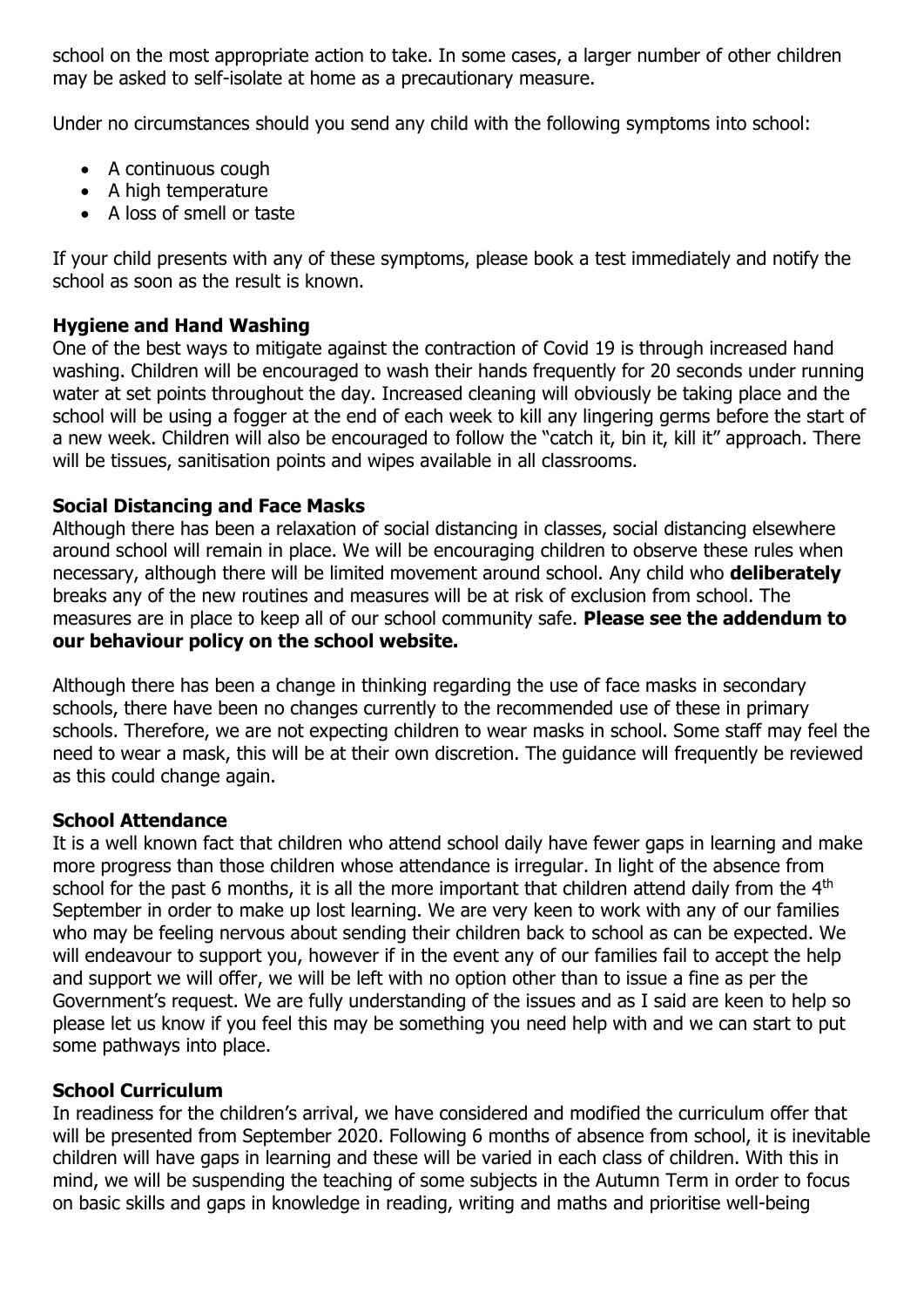school on the most appropriate action to take. In some cases, a larger number of other children may be asked to self-isolate at home as a precautionary measure.

Under no circumstances should you send any child with the following symptoms into school:

- A continuous cough
- A high temperature
- A loss of smell or taste

If your child presents with any of these symptoms, please book a test immediately and notify the school as soon as the result is known.

# **Hygiene and Hand Washing**

One of the best ways to mitigate against the contraction of Covid 19 is through increased hand washing. Children will be encouraged to wash their hands frequently for 20 seconds under running water at set points throughout the day. Increased cleaning will obviously be taking place and the school will be using a fogger at the end of each week to kill any lingering germs before the start of a new week. Children will also be encouraged to follow the "catch it, bin it, kill it" approach. There will be tissues, sanitisation points and wipes available in all classrooms.

# **Social Distancing and Face Masks**

Although there has been a relaxation of social distancing in classes, social distancing elsewhere around school will remain in place. We will be encouraging children to observe these rules when necessary, although there will be limited movement around school. Any child who **deliberately**  breaks any of the new routines and measures will be at risk of exclusion from school. The measures are in place to keep all of our school community safe. **Please see the addendum to our behaviour policy on the school website.** 

Although there has been a change in thinking regarding the use of face masks in secondary schools, there have been no changes currently to the recommended use of these in primary schools. Therefore, we are not expecting children to wear masks in school. Some staff may feel the need to wear a mask, this will be at their own discretion. The guidance will frequently be reviewed as this could change again.

## **School Attendance**

It is a well known fact that children who attend school daily have fewer gaps in learning and make more progress than those children whose attendance is irregular. In light of the absence from school for the past 6 months, it is all the more important that children attend daily from the 4<sup>th</sup> September in order to make up lost learning. We are very keen to work with any of our families who may be feeling nervous about sending their children back to school as can be expected. We will endeavour to support you, however if in the event any of our families fail to accept the help and support we will offer, we will be left with no option other than to issue a fine as per the Government's request. We are fully understanding of the issues and as I said are keen to help so please let us know if you feel this may be something you need help with and we can start to put some pathways into place.

## **School Curriculum**

In readiness for the children's arrival, we have considered and modified the curriculum offer that will be presented from September 2020. Following 6 months of absence from school, it is inevitable children will have gaps in learning and these will be varied in each class of children. With this in mind, we will be suspending the teaching of some subjects in the Autumn Term in order to focus on basic skills and gaps in knowledge in reading, writing and maths and prioritise well-being